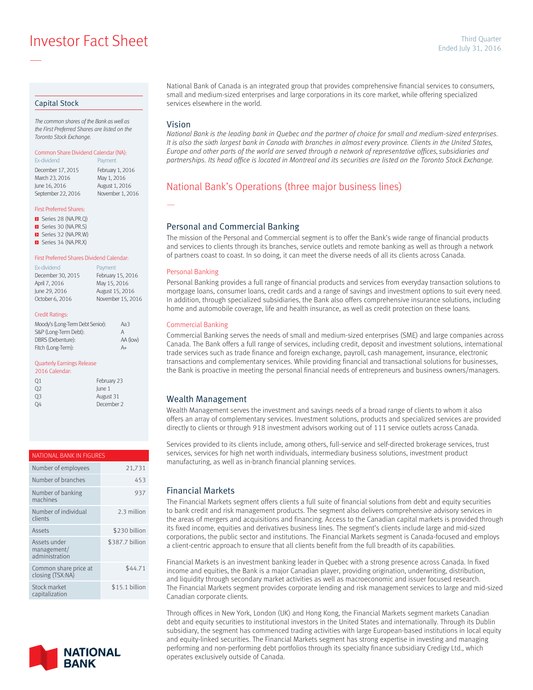**Ended July 31, 2016**<br>Ended July 31, 2016

#### Capital Stock

—

*The common shares of the Bank as well as the First Preferred Shares are listed on the Toronto Stock Exchange.*

#### Common Share Dividend Calendar (NA): Ex-dividend **Payment**

December 17, 2015 February 1, 2016<br>March 23, 2016 May 1, 2016 March 23, 2016<br>June 16, 2016 September 22, 2016 November 1, 2016

August 1, 2016

#### First Preferred Shares:

- Series 28 (NA.PR.Q)
- Series 30 (NA.PR.S)
- Series 32 (NA.PR.W)
- Series 34 (NA.PR.X)

# First Preferred Shares Dividend Calendar:

| Payment           |
|-------------------|
| February 15, 2016 |
| May 15, 2016      |
| August 15, 2016   |
| November 15, 2016 |
|                   |

#### Credit Ratings:

| Moody's (Long-Term Debt Senior): | Aa3          |
|----------------------------------|--------------|
| S&P (Long-Term Debt):            | $\mathsf{A}$ |
| DBRS (Debenture):                | AA (low)     |
| Fitch (Long-Term):               | A+           |

#### Quarterly Earnings Release

| 2016 Calendar: |             |
|----------------|-------------|
| Q1             | February 23 |
| O <sub>2</sub> | lune 1      |
| 03             | August 31   |
| Ω4             | December 2  |

# NATIONAL BANK IN FIGURES Number of employees 21,731

| Number of branches                            | 453             |
|-----------------------------------------------|-----------------|
| Number of banking<br>machines                 | 937             |
| Number of individual<br>clients               | 2.3 million     |
| Assets                                        | \$230 billion   |
| Assets under<br>management/<br>administration | \$387.7 billion |
| Common share price at<br>closing (TSX:NA)     | \$44.71         |
| Stock market<br>capitalization                | \$15.1 billion  |



National Bank of Canada is an integrated group that provides comprehensive financial services to consumers, small and medium-sized enterprises and large corporations in its core market, while offering specialized services elsewhere in the world.

### Vision

—

*National Bank is the leading bank in Quebec and the partner of choice for small and medium-sized enterprises.*  It is also the sixth largest bank in Canada with branches in almost every province. Clients in the United States, *Europe and other parts of the world are served through a network of representative offices, subsidiaries and partnerships. Its head office is located in Montreal and its securities are listed on the Toronto Stock Exchange.*

## National Bank's Operations (three major business lines)

### Personal and Commercial Banking

The mission of the Personal and Commercial segment is to offer the Bank's wide range of financial products and services to clients through its branches, service outlets and remote banking as well as through a network of partners coast to coast. In so doing, it can meet the diverse needs of all its clients across Canada.

#### Personal Banking

Personal Banking provides a full range of financial products and services from everyday transaction solutions to mortgage loans, consumer loans, credit cards and a range of savings and investment options to suit every need. In addition, through specialized subsidiaries, the Bank also offers comprehensive insurance solutions, including home and automobile coverage, life and health insurance, as well as credit protection on these loans.

#### Commercial Banking

Commercial Banking serves the needs of small and medium-sized enterprises (SME) and large companies across Canada. The Bank offers a full range of services, including credit, deposit and investment solutions, international trade services such as trade finance and foreign exchange, payroll, cash management, insurance, electronic transactions and complementary services. While providing financial and transactional solutions for businesses, the Bank is proactive in meeting the personal financial needs of entrepreneurs and business owners/managers.

### Wealth Management

Wealth Management serves the investment and savings needs of a broad range of clients to whom it also offers an array of complementary services. Investment solutions, products and specialized services are provided directly to clients or through 918 investment advisors working out of 111 service outlets across Canada.

Services provided to its clients include, among others, full-service and self-directed brokerage services, trust services, services for high net worth individuals, intermediary business solutions, investment product manufacturing, as well as in-branch financial planning services.

### Financial Markets

The Financial Markets segment offers clients a full suite of financial solutions from debt and equity securities to bank credit and risk management products. The segment also delivers comprehensive advisory services in the areas of mergers and acquisitions and financing. Access to the Canadian capital markets is provided through its fixed income, equities and derivatives business lines. The segment's clients include large and mid-sized corporations, the public sector and institutions. The Financial Markets segment is Canada-focused and employs a client-centric approach to ensure that all clients benefit from the full breadth of its capabilities.

Financial Markets is an investment banking leader in Quebec with a strong presence across Canada. In fixed income and equities, the Bank is a major Canadian player, providing origination, underwriting, distribution, and liquidity through secondary market activities as well as macroeconomic and issuer focused research. The Financial Markets segment provides corporate lending and risk management services to large and mid-sized Canadian corporate clients.

Through offices in New York, London (UK) and Hong Kong, the Financial Markets segment markets Canadian debt and equity securities to institutional investors in the United States and internationally. Through its Dublin subsidiary, the segment has commenced trading activities with large European-based institutions in local equity and equity-linked securities. The Financial Markets segment has strong expertise in investing and managing performing and non-performing debt portfolios through its specialty finance subsidiary Credigy Ltd., which operates exclusively outside of Canada.